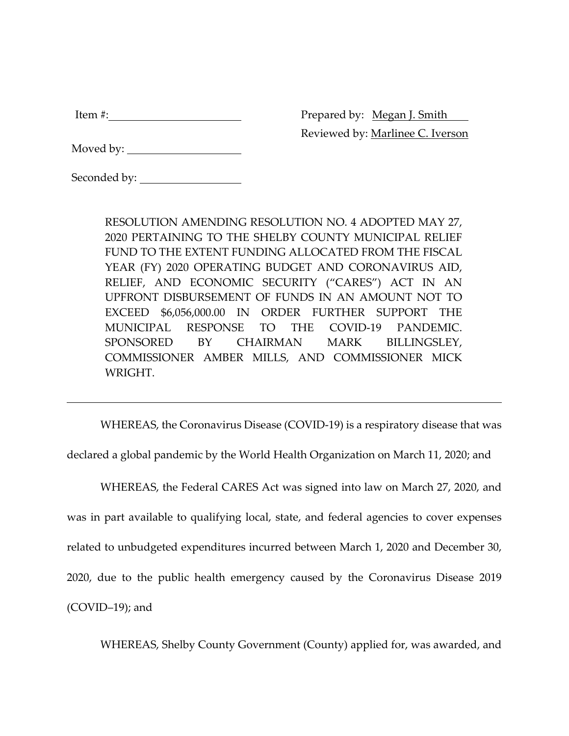| tem<br><br>__ |  |
|---------------|--|
|               |  |

Prepared by: Megan J. Smith Reviewed by: Marlinee C. Iverson

| Seconded by: |  |
|--------------|--|
|              |  |

RESOLUTION AMENDING RESOLUTION NO. 4 ADOPTED MAY 27, 2020 PERTAINING TO THE SHELBY COUNTY MUNICIPAL RELIEF FUND TO THE EXTENT FUNDING ALLOCATED FROM THE FISCAL YEAR (FY) 2020 OPERATING BUDGET AND CORONAVIRUS AID, RELIEF, AND ECONOMIC SECURITY ("CARES") ACT IN AN UPFRONT DISBURSEMENT OF FUNDS IN AN AMOUNT NOT TO EXCEED \$6,056,000.00 IN ORDER FURTHER SUPPORT THE MUNICIPAL RESPONSE TO THE COVID-19 PANDEMIC. SPONSORED BY CHAIRMAN MARK BILLINGSLEY, COMMISSIONER AMBER MILLS, AND COMMISSIONER MICK WRIGHT.

WHEREAS, the Coronavirus Disease (COVID-19) is a respiratory disease that was

declared a global pandemic by the World Health Organization on March 11, 2020; and

WHEREAS, the Federal CARES Act was signed into law on March 27, 2020, and was in part available to qualifying local, state, and federal agencies to cover expenses related to unbudgeted expenditures incurred between March 1, 2020 and December 30, 2020, due to the public health emergency caused by the Coronavirus Disease 2019 (COVID–19); and

WHEREAS, Shelby County Government (County) applied for, was awarded, and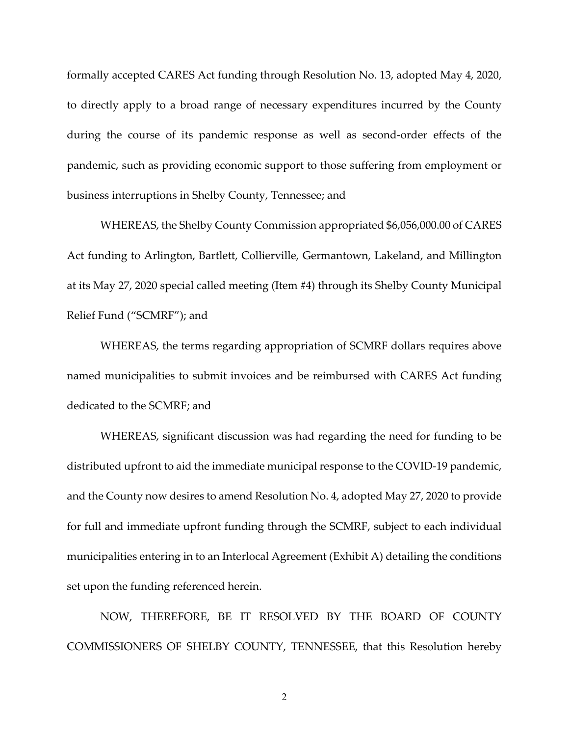formally accepted CARES Act funding through Resolution No. 13, adopted May 4, 2020, to directly apply to a broad range of necessary expenditures incurred by the County during the course of its pandemic response as well as second-order effects of the pandemic, such as providing economic support to those suffering from employment or business interruptions in Shelby County, Tennessee; and

WHEREAS, the Shelby County Commission appropriated \$6,056,000.00 of CARES Act funding to Arlington, Bartlett, Collierville, Germantown, Lakeland, and Millington at its May 27, 2020 special called meeting (Item #4) through its Shelby County Municipal Relief Fund ("SCMRF"); and

WHEREAS, the terms regarding appropriation of SCMRF dollars requires above named municipalities to submit invoices and be reimbursed with CARES Act funding dedicated to the SCMRF; and

WHEREAS, significant discussion was had regarding the need for funding to be distributed upfront to aid the immediate municipal response to the COVID-19 pandemic, and the County now desires to amend Resolution No. 4, adopted May 27, 2020 to provide for full and immediate upfront funding through the SCMRF, subject to each individual municipalities entering in to an Interlocal Agreement (Exhibit A) detailing the conditions set upon the funding referenced herein.

NOW, THEREFORE, BE IT RESOLVED BY THE BOARD OF COUNTY COMMISSIONERS OF SHELBY COUNTY, TENNESSEE, that this Resolution hereby

2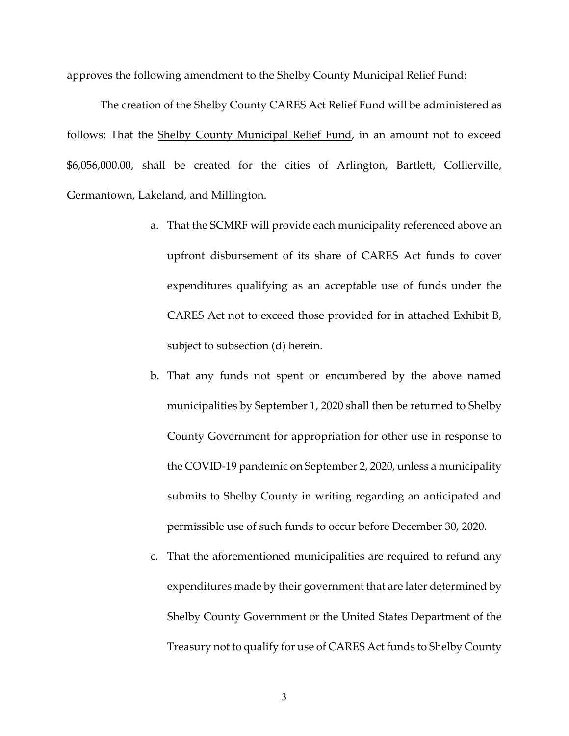approves the following amendment to the Shelby County Municipal Relief Fund:

The creation of the Shelby County CARES Act Relief Fund will be administered as follows: That the Shelby County Municipal Relief Fund, in an amount not to exceed \$6,056,000.00, shall be created for the cities of Arlington, Bartlett, Collierville, Germantown, Lakeland, and Millington.

- a. That the SCMRF will provide each municipality referenced above an upfront disbursement of its share of CARES Act funds to cover expenditures qualifying as an acceptable use of funds under the CARES Act not to exceed those provided for in attached Exhibit B, subject to subsection (d) herein.
- b. That any funds not spent or encumbered by the above named municipalities by September 1, 2020 shall then be returned to Shelby County Government for appropriation for other use in response to the COVID-19 pandemic on September 2, 2020, unless a municipality submits to Shelby County in writing regarding an anticipated and permissible use of such funds to occur before December 30, 2020.
- c. That the aforementioned municipalities are required to refund any expenditures made by their government that are later determined by Shelby County Government or the United States Department of the Treasury not to qualify for use of CARES Act funds to Shelby County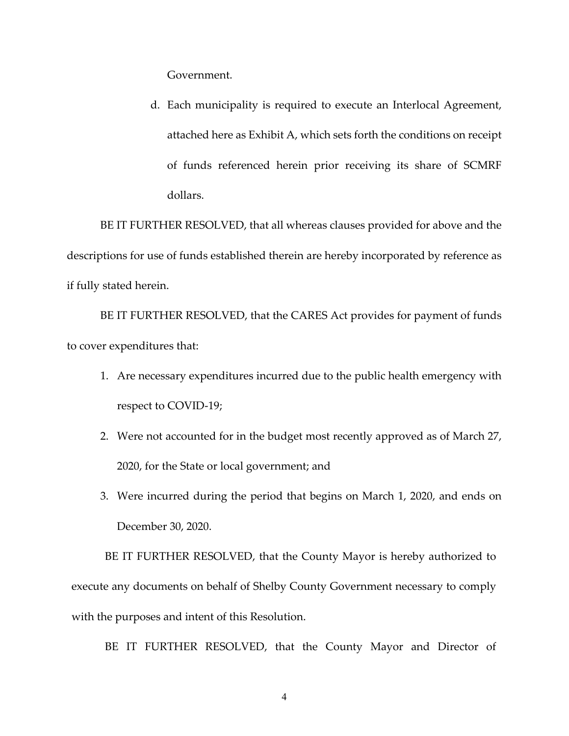Government.

d. Each municipality is required to execute an Interlocal Agreement, attached here as Exhibit A, which sets forth the conditions on receipt of funds referenced herein prior receiving its share of SCMRF dollars.

BE IT FURTHER RESOLVED, that all whereas clauses provided for above and the descriptions for use of funds established therein are hereby incorporated by reference as if fully stated herein.

BE IT FURTHER RESOLVED, that the CARES Act provides for payment of funds to cover expenditures that:

- 1. Are necessary expenditures incurred due to the public health emergency with respect to COVID-19;
- 2. Were not accounted for in the budget most recently approved as of March 27, 2020, for the State or local government; and
- 3. Were incurred during the period that begins on March 1, 2020, and ends on December 30, 2020.

BE IT FURTHER RESOLVED, that the County Mayor is hereby authorized to execute any documents on behalf of Shelby County Government necessary to comply with the purposes and intent of this Resolution.

BE IT FURTHER RESOLVED, that the County Mayor and Director of

4